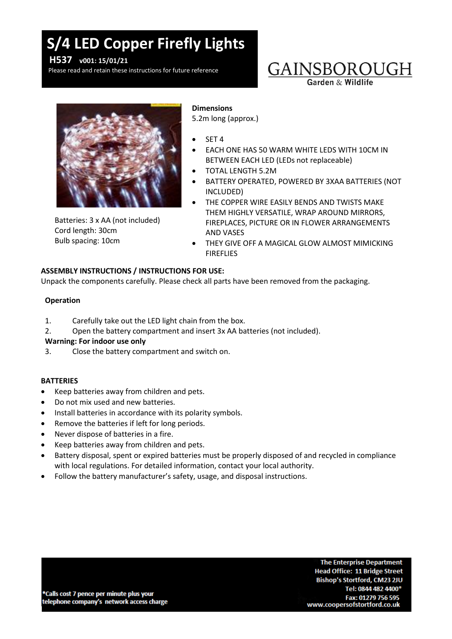# **S/4 LED Copper Firefly Lights**

**H537 v001: 15/01/21**

Please read and retain these instructions for future reference

### GAINSBOROUGH Garden & Wildlife



Batteries: 3 x AA (not included) Cord length: 30cm Bulb spacing: 10cm

#### **Dimensions**

5.2m long (approx.)

- SET 4
- EACH ONE HAS 50 WARM WHITE LEDS WITH 10CM IN BETWEEN EACH LED (LEDs not replaceable)
- TOTAL LENGTH 5.2M
- BATTERY OPERATED, POWERED BY 3XAA BATTERIES (NOT INCLUDED)
- THE COPPER WIRE EASILY BENDS AND TWISTS MAKE THEM HIGHLY VERSATILE, WRAP AROUND MIRRORS, FIREPLACES, PICTURE OR IN FLOWER ARRANGEMENTS AND VASES
- THEY GIVE OFF A MAGICAL GLOW ALMOST MIMICKING FIREFLIES

#### **ASSEMBLY INSTRUCTIONS / INSTRUCTIONS FOR USE:**

Unpack the components carefully. Please check all parts have been removed from the packaging.

#### **Operation**

- 1. Carefully take out the LED light chain from the box.
- 2. Open the battery compartment and insert 3x AA batteries (not included).

#### **Warning: For indoor use only**

3. Close the battery compartment and switch on.

#### **BATTERIES**

- Keep batteries away from children and pets.
- Do not mix used and new batteries.
- Install batteries in accordance with its polarity symbols.
- Remove the batteries if left for long periods.
- Never dispose of batteries in a fire.
- Keep batteries away from children and pets.
- Battery disposal, spent or expired batteries must be properly disposed of and recycled in compliance with local regulations. For detailed information, contact your local authority.
- Follow the battery manufacturer's safety, usage, and disposal instructions.

\*Calls cost 7 pence per minute plus your telephone company's network access charge

**The Enterprise Department Head Office: 11 Bridge Street** Bishop's Stortford, CM23 2JU Tel: 0844 482 4400\* Fax: 01279 756 595 www.coopersofstortford.co.uk